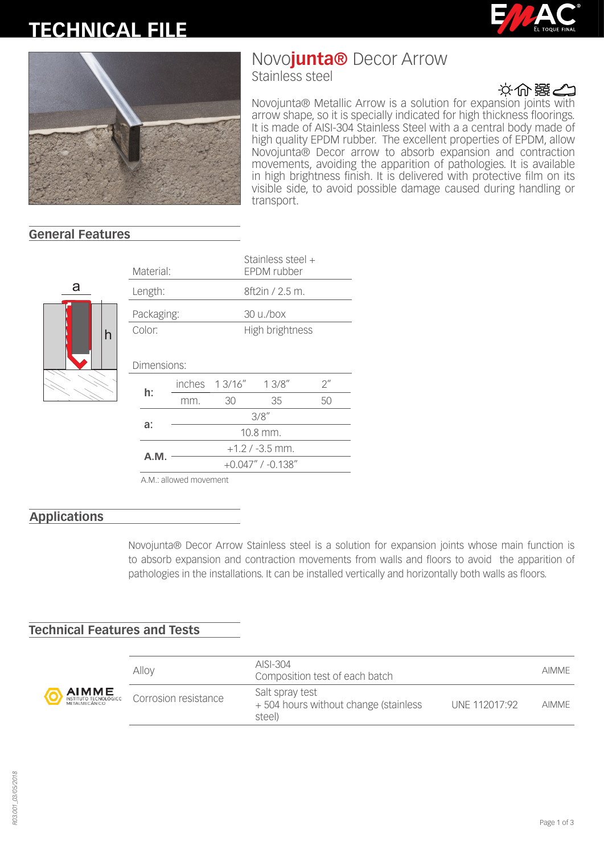# **TECHNICAL FILE**





# Novo**junta®** Decor Arrow

Stainless steel



Novojunta® Metallic Arrow is a solution for expansion joints with arrow shape, so it is specially indicated for high thickness floorings. It is made of AISI-304 Stainless Steel with a a central body made of high quality EPDM rubber. The excellent properties of EPDM, allow Novojunta® Decor arrow to absorb expansion and contraction movements, avoiding the apparition of pathologies. It is available in high brightness finish. It is delivered with protective film on its visible side, to avoid possible damage caused during handling or transport.

### **General Features**



|            | Material:   |                         |                     | Stainless steel +<br>EPDM rubber |                    |  |  |
|------------|-------------|-------------------------|---------------------|----------------------------------|--------------------|--|--|
| Length:    |             |                         |                     | 8ft2in / 2.5 m.                  |                    |  |  |
| Packaging: |             |                         |                     | 30 u./box                        |                    |  |  |
| Color:     |             |                         | High brightness     |                                  |                    |  |  |
|            | Dimensions: |                         |                     |                                  |                    |  |  |
|            | h:          |                         | inches 13/16" 13/8" |                                  | $2^{\prime\prime}$ |  |  |
|            |             | mm.                     | 30                  | 35                               | 50                 |  |  |
|            | a:          | 3/8''                   |                     |                                  |                    |  |  |
|            |             | 10.8 mm.                |                     |                                  |                    |  |  |
|            | A.M.        | $+1.2$ / -3.5 mm.       |                     |                                  |                    |  |  |
|            |             | $+0.047''$ / $-0.138''$ |                     |                                  |                    |  |  |
|            |             |                         |                     |                                  |                    |  |  |

A.M.: allowed movement

### **Applications**

Novojunta® Decor Arrow Stainless steel is a solution for expansion joints whose main function is to absorb expansion and contraction movements from walls and floors to avoid the apparition of pathologies in the installations. It can be installed vertically and horizontally both walls as floors.

### **Technical Features and Tests**

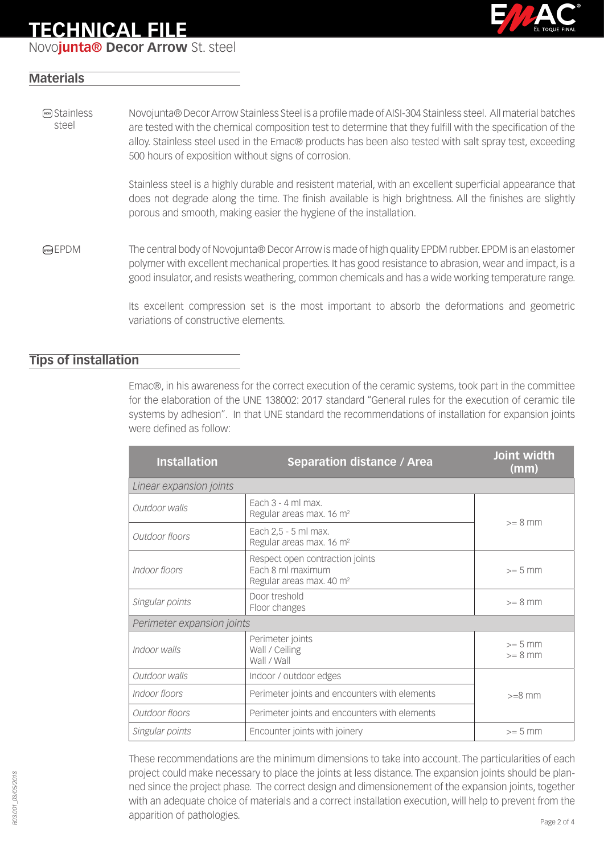## **TECHNICAL FILE**

Novo**junta® Decor Arrow** St. steel



### **Materials**

**MOX** Stainless steel Novojunta® Decor Arrow Stainless Steel is a profile made of AISI-304 Stainless steel. All material batches are tested with the chemical composition test to determine that they fulfill with the specification of the alloy. Stainless steel used in the Emac® products has been also tested with salt spray test, exceeding 500 hours of exposition without signs of corrosion.

> Stainless steel is a highly durable and resistent material, with an excellent superficial appearance that does not degrade along the time. The finish available is high brightness. All the finishes are slightly porous and smooth, making easier the hygiene of the installation.

EPDM The central body of Novojunta® Decor Arrow is made of high quality EPDM rubber. EPDM is an elastomer polymer with excellent mechanical properties. It has good resistance to abrasion, wear and impact, is a good insulator, and resists weathering, common chemicals and has a wide working temperature range.

> Its excellent compression set is the most important to absorb the deformations and geometric variations of constructive elements.

### **Tips of installation**

Emac®, in his awareness for the correct execution of the ceramic systems, took part in the committee for the elaboration of the UNE 138002: 2017 standard "General rules for the execution of ceramic tile systems by adhesion". In that UNE standard the recommendations of installation for expansion joints were defined as follow:

| <b>Installation</b>        | <b>Separation distance / Area</b>                                                            | Joint width<br>(mm)    |  |  |  |
|----------------------------|----------------------------------------------------------------------------------------------|------------------------|--|--|--|
| Linear expansion joints    |                                                                                              |                        |  |  |  |
| Outdoor walls              | Fach $3 - 4$ ml max.<br>Regular areas max. 16 m <sup>2</sup>                                 | $>= 8$ mm              |  |  |  |
| Outdoor floors             | Each 2,5 - 5 ml max.<br>Regular areas max. 16 m <sup>2</sup>                                 |                        |  |  |  |
| Indoor floors              | Respect open contraction joints<br>Each 8 ml maximum<br>Regular areas max. 40 m <sup>2</sup> |                        |  |  |  |
| Singular points            | Door treshold<br>Floor changes                                                               |                        |  |  |  |
| Perimeter expansion joints |                                                                                              |                        |  |  |  |
| Indoor walls               | Perimeter joints<br>Wall / Ceiling<br>Wall / Wall                                            | $>= 5$ mm<br>$>= 8$ mm |  |  |  |
| Outdoor walls              | Indoor / outdoor edges                                                                       |                        |  |  |  |
| Indoor floors              | Perimeter joints and encounters with elements                                                | $>=8$ mm               |  |  |  |
| Outdoor floors             | Perimeter joints and encounters with elements                                                |                        |  |  |  |
| Singular points            | Encounter joints with joinery                                                                | $>= 5$ mm              |  |  |  |

These recommendations are the minimum dimensions to take into account. The particularities of each project could make necessary to place the joints at less distance. The expansion joints should be planned since the project phase. The correct design and dimensionement of the expansion joints, together with an adequate choice of materials and a correct installation execution, will help to prevent from the apparition of pathologies.